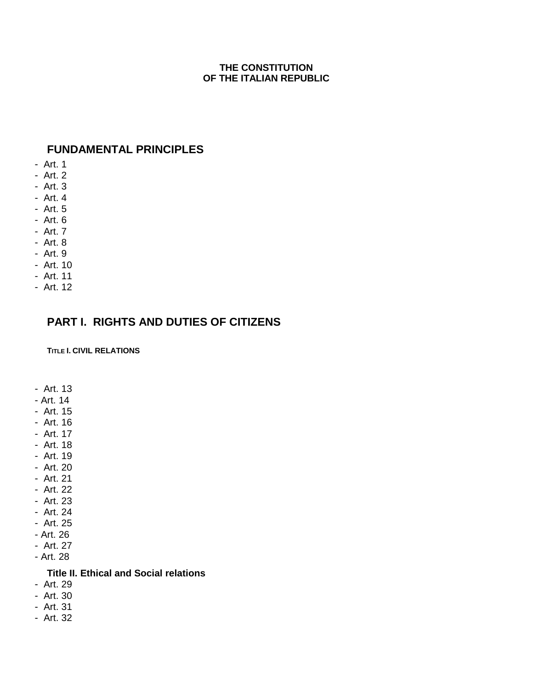# **THE CONSTITUTION OF THE ITALIAN REPUBLIC**

# **FUNDAMENTAL PRINCIPLES**

- Art. 1
- Art. 2
- Art. 3
- Art. 4
- Art. 5
- Art. 6
- Art. 7
- Art. 8
- Art. 9
- Art. 10 - Art. 11
- 
- Art. 12

# **PART I. RIGHTS AND DUTIES OF CITIZENS**

**TITLE I. CIVIL RELATIONS**

- Art. 13
- Art. 14
- Art. 15
- Art. 16
- Art. 17
- Art. 18
- Art. 19
- Art. 20
- Art. 21
- Art. 22
- Art. 23
- Art. 24
- Art. 25
- Art. 26
- Art. 27
- Art. 28

# **Title II. Ethical and Social relations**

- Art. 29
- Art. 30
- Art. 31
- Art. 32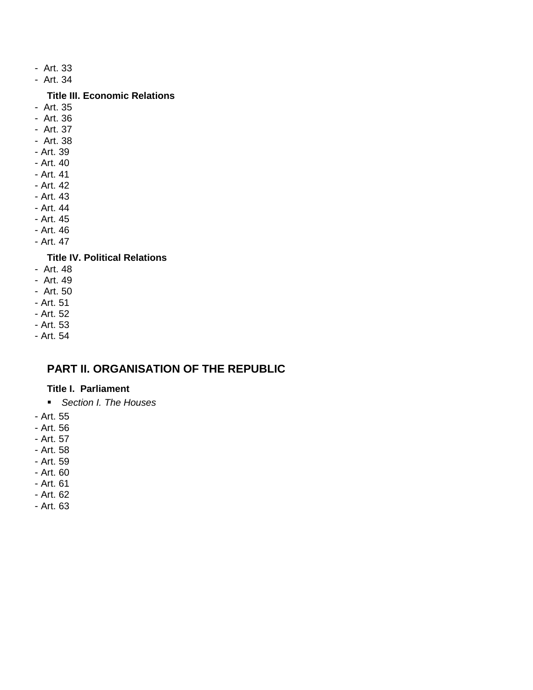- Art. 33
- Art. 34

# **Title III. Economic Relations**

- Art. 35
- Art. 36
- Art. 37
- Art. 38
- Art. 39
- Art. 40
- Art. 41
- Art. 42
- Art. 43
- Art. 44
- Art. 45 - Art. 46
- Art. 47

# **Title IV. Political Relations**

- Art. 48
- Art. 49
- Art. 50
- Art. 51
- Art. 52
- Art. 53
- Art. 54

# **PART II. ORGANISATION OF THE REPUBLIC**

# **Title I. Parliament**

- *Section I. The Houses*
- Art. 55
- Art. 56
- Art. 57
- Art. 58
- Art. 59
- Art. 60
- Art. 61
- Art. 62
- Art. 63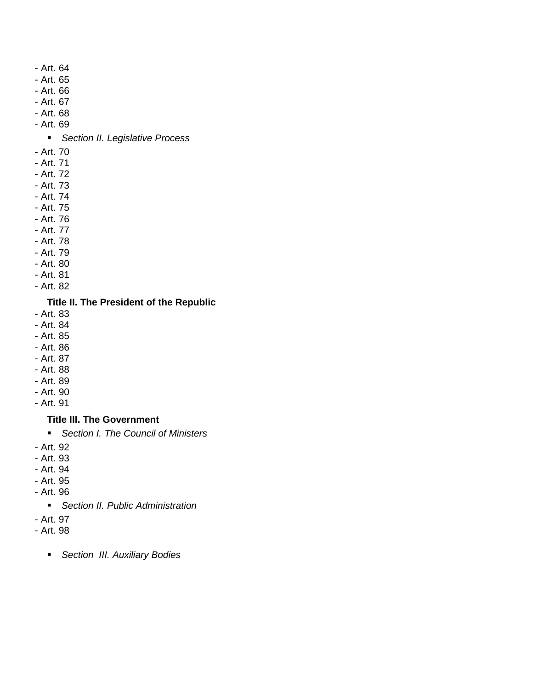- Art. 64
- Art. 65
- Art. 66
- Art. 67
- Art. 68
- Art. 69
	- *Section II. Legislative Process*
- Art. 70
- Art. 71
- Art. 72
- Art. 73
- Art. 74
- Art. 75
- Art. 76
- Art. 77
- Art. 78
- Art. 79
- Art. 80
- Art. 81
- Art. 82

# **Title II. The President of the Republic**

- Art. 83
- Art. 84
- Art. 85
- Art. 86
- Art. 87
- Art. 88
- Art. 89
- Art. 90
- Art. 91

# **Title III. The Government**

- *Section I. The Council of Ministers*
- Art. 92
- Art. 93
- Art. 94
- Art. 95
- Art. 96
	- *Section II. Public Administration*
- Art. 97
- Art. 98
	- *Section III. Auxiliary Bodies*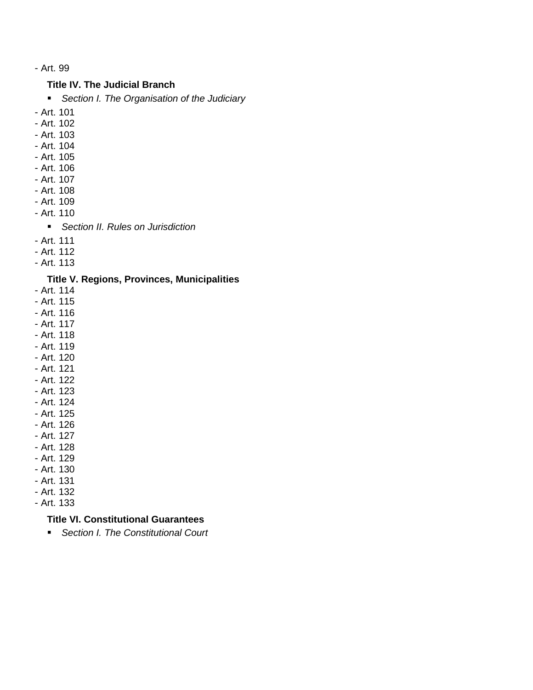- Art. 99

# **Title IV. The Judicial Branch**

- *Section I. The Organisation of the Judiciary*
- Art. 101
- Art. 102
- Art. 103
- Art. 104
- Art. 105 - Art. 106
- Art. 107
- Art. 108
- Art. 109
- Art. 110
	- *Section II. Rules on Jurisdiction*
- Art. 111
- Art. 112
- Art. 113

# **Title V. Regions, Provinces, Municipalities**

- Art. 114
- Art. 115
- Art. 116
- Art. 117
- Art. 118
- Art. 119
- Art. 120
- Art. 121
- Art. 122 - Art. 123
- Art. 124
- Art. 125
- Art. 126
- Art. 127
- Art. 128
- Art. 129
- Art. 130
- Art. 131
- Art. 132
- Art. 133

# **Title VI. Constitutional Guarantees**

*Section I. The Constitutional Court*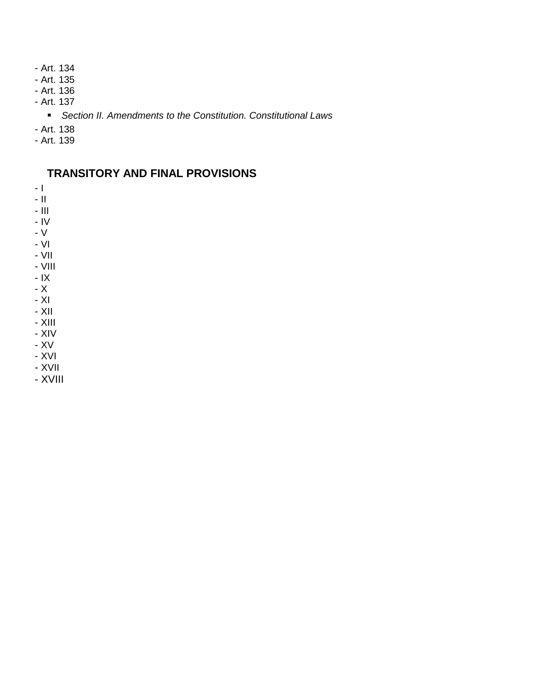- Art. 134
- Art. 135
- Art. 136
- Art. 137
	- *Section II. Amendments to the Constitution. Constitutional Laws*
- Art. 138
- Art. 139

# **TRANSITORY AND FINAL PROVISIONS**

- $-1$
- II
- III
- IV
- V
- VI
- VII
- VIII
- IX
- X
- XI
- XII
- XIII
- XIV
- XV
- XVI
- XVII
- XVIII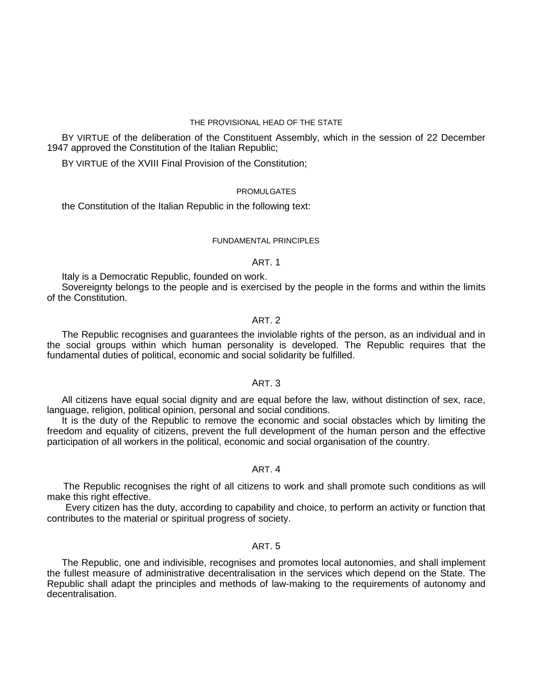#### THE PROVISIONAL HEAD OF THE STATE

BY VIRTUE of the deliberation of the Constituent Assembly, which in the session of 22 December 1947 approved the Constitution of the Italian Republic;

BY VIRTUE of the XVIII Final Provision of the Constitution;

#### PROMULGATES

the Constitution of the Italian Republic in the following text:

#### FUNDAMENTAL PRINCIPLES

#### ART. 1

Italy is a Democratic Republic, founded on work.

Sovereignty belongs to the people and is exercised by the people in the forms and within the limits of the Constitution.

### ART. 2

The Republic recognises and guarantees the inviolable rights of the person, as an individual and in the social groups within which human personality is developed. The Republic requires that the fundamental duties of political, economic and social solidarity be fulfilled.

# ART. 3

All citizens have equal social dignity and are equal before the law, without distinction of sex, race, language, religion, political opinion, personal and social conditions.

It is the duty of the Republic to remove the economic and social obstacles which by limiting the freedom and equality of citizens, prevent the full development of the human person and the effective participation of all workers in the political, economic and social organisation of the country.

# ART. 4

 The Republic recognises the right of all citizens to work and shall promote such conditions as will make this right effective.

Every citizen has the duty, according to capability and choice, to perform an activity or function that contributes to the material or spiritual progress of society.

# ART. 5

The Republic, one and indivisible, recognises and promotes local autonomies, and shall implement the fullest measure of administrative decentralisation in the services which depend on the State. The Republic shall adapt the principles and methods of law-making to the requirements of autonomy and decentralisation.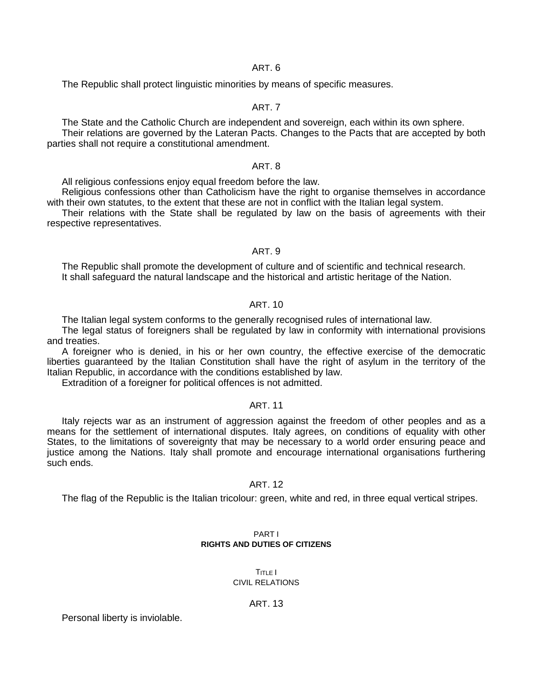The Republic shall protect linguistic minorities by means of specific measures.

### ART. 7

The State and the Catholic Church are independent and sovereign, each within its own sphere. Their relations are governed by the Lateran Pacts. Changes to the Pacts that are accepted by both parties shall not require a constitutional amendment.

#### ART. 8

All religious confessions enjoy equal freedom before the law.

Religious confessions other than Catholicism have the right to organise themselves in accordance with their own statutes, to the extent that these are not in conflict with the Italian legal system.

Their relations with the State shall be regulated by law on the basis of agreements with their respective representatives.

#### ART. 9

The Republic shall promote the development of culture and of scientific and technical research. It shall safeguard the natural landscape and the historical and artistic heritage of the Nation.

#### ART<sub>10</sub>

The Italian legal system conforms to the generally recognised rules of international law.

The legal status of foreigners shall be regulated by law in conformity with international provisions and treaties.

A foreigner who is denied, in his or her own country, the effective exercise of the democratic liberties guaranteed by the Italian Constitution shall have the right of asylum in the territory of the Italian Republic, in accordance with the conditions established by law.

Extradition of a foreigner for political offences is not admitted.

### ART. 11

Italy rejects war as an instrument of aggression against the freedom of other peoples and as a means for the settlement of international disputes. Italy agrees, on conditions of equality with other States, to the limitations of sovereignty that may be necessary to a world order ensuring peace and justice among the Nations. Italy shall promote and encourage international organisations furthering such ends.

### ART. 12

The flag of the Republic is the Italian tricolour: green, white and red, in three equal vertical stripes.

### PART I **RIGHTS AND DUTIES OF CITIZENS**

 $TITI FI$ CIVIL RELATIONS

# ART. 13

Personal liberty is inviolable.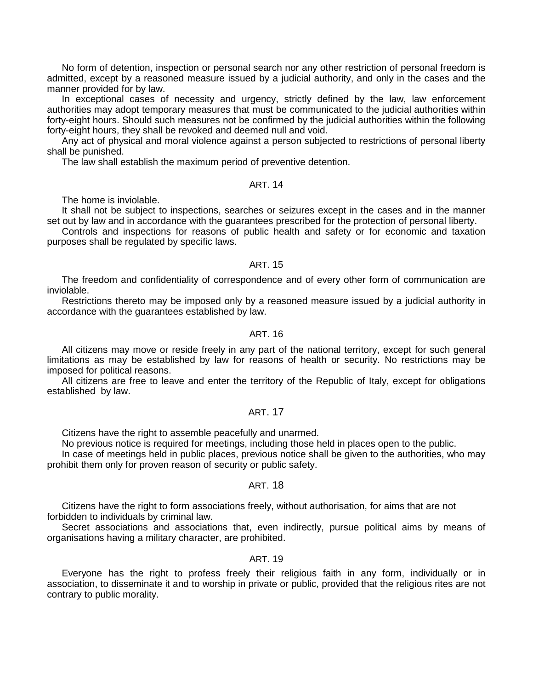No form of detention, inspection or personal search nor any other restriction of personal freedom is admitted, except by a reasoned measure issued by a judicial authority, and only in the cases and the manner provided for by law.

In exceptional cases of necessity and urgency, strictly defined by the law, law enforcement authorities may adopt temporary measures that must be communicated to the judicial authorities within forty-eight hours. Should such measures not be confirmed by the judicial authorities within the following forty-eight hours, they shall be revoked and deemed null and void.

Any act of physical and moral violence against a person subjected to restrictions of personal liberty shall be punished.

The law shall establish the maximum period of preventive detention.

#### ART. 14

The home is inviolable.

It shall not be subject to inspections, searches or seizures except in the cases and in the manner set out by law and in accordance with the guarantees prescribed for the protection of personal liberty.

Controls and inspections for reasons of public health and safety or for economic and taxation purposes shall be regulated by specific laws.

### ART. 15

The freedom and confidentiality of correspondence and of every other form of communication are inviolable.

Restrictions thereto may be imposed only by a reasoned measure issued by a judicial authority in accordance with the guarantees established by law.

#### ART. 16

All citizens may move or reside freely in any part of the national territory, except for such general limitations as may be established by law for reasons of health or security. No restrictions may be imposed for political reasons.

All citizens are free to leave and enter the territory of the Republic of Italy, except for obligations established by law.

## ART. 17

Citizens have the right to assemble peacefully and unarmed.

No previous notice is required for meetings, including those held in places open to the public. In case of meetings held in public places, previous notice shall be given to the authorities, who may prohibit them only for proven reason of security or public safety.

# ART. 18

Citizens have the right to form associations freely, without authorisation, for aims that are not forbidden to individuals by criminal law.

Secret associations and associations that, even indirectly, pursue political aims by means of organisations having a military character, are prohibited.

#### ART. 19

Everyone has the right to profess freely their religious faith in any form, individually or in association, to disseminate it and to worship in private or public, provided that the religious rites are not contrary to public morality.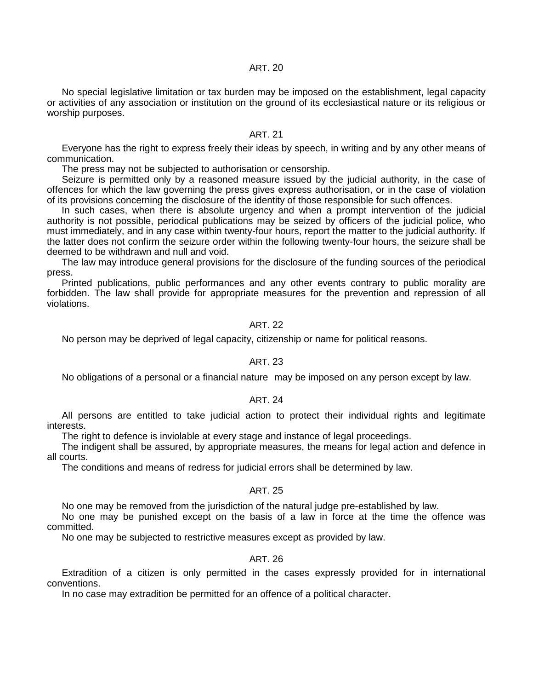No special legislative limitation or tax burden may be imposed on the establishment, legal capacity or activities of any association or institution on the ground of its ecclesiastical nature or its religious or worship purposes.

# ART. 21

Everyone has the right to express freely their ideas by speech, in writing and by any other means of communication.

The press may not be subjected to authorisation or censorship.

Seizure is permitted only by a reasoned measure issued by the judicial authority, in the case of offences for which the law governing the press gives express authorisation, or in the case of violation of its provisions concerning the disclosure of the identity of those responsible for such offences.

In such cases, when there is absolute urgency and when a prompt intervention of the judicial authority is not possible, periodical publications may be seized by officers of the judicial police, who must immediately, and in any case within twenty-four hours, report the matter to the judicial authority. If the latter does not confirm the seizure order within the following twenty-four hours, the seizure shall be deemed to be withdrawn and null and void.

The law may introduce general provisions for the disclosure of the funding sources of the periodical press.

Printed publications, public performances and any other events contrary to public morality are forbidden. The law shall provide for appropriate measures for the prevention and repression of all violations.

## ART. 22

No person may be deprived of legal capacity, citizenship or name for political reasons.

#### ART. 23

No obligations of a personal or a financial nature may be imposed on any person except by law.

#### ART. 24

All persons are entitled to take judicial action to protect their individual rights and legitimate interests.

The right to defence is inviolable at every stage and instance of legal proceedings.

The indigent shall be assured, by appropriate measures, the means for legal action and defence in all courts.

The conditions and means of redress for judicial errors shall be determined by law.

### ART. 25

No one may be removed from the jurisdiction of the natural judge pre-established by law.

No one may be punished except on the basis of a law in force at the time the offence was committed.

No one may be subjected to restrictive measures except as provided by law.

#### ART. 26

Extradition of a citizen is only permitted in the cases expressly provided for in international conventions.

In no case may extradition be permitted for an offence of a political character.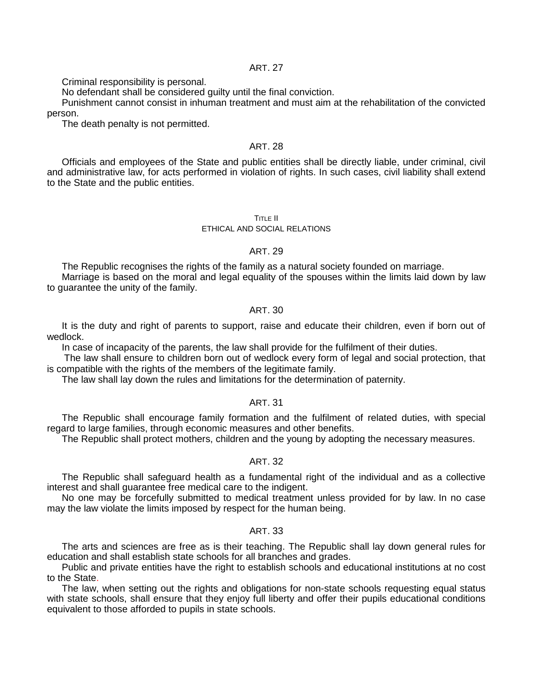Criminal responsibility is personal.

No defendant shall be considered guilty until the final conviction.

Punishment cannot consist in inhuman treatment and must aim at the rehabilitation of the convicted person.

The death penalty is not permitted.

# ART. 28

Officials and employees of the State and public entities shall be directly liable, under criminal, civil and administrative law, for acts performed in violation of rights. In such cases, civil liability shall extend to the State and the public entities.

#### TITLE II

#### ETHICAL AND SOCIAL RELATIONS

#### ART. 29

The Republic recognises the rights of the family as a natural society founded on marriage.

Marriage is based on the moral and legal equality of the spouses within the limits laid down by law to guarantee the unity of the family.

#### ART. 30

It is the duty and right of parents to support, raise and educate their children, even if born out of wedlock.

In case of incapacity of the parents, the law shall provide for the fulfilment of their duties.

 The law shall ensure to children born out of wedlock every form of legal and social protection, that is compatible with the rights of the members of the legitimate family.

The law shall lay down the rules and limitations for the determination of paternity.

## ART. 31

The Republic shall encourage family formation and the fulfilment of related duties, with special regard to large families, through economic measures and other benefits.

The Republic shall protect mothers, children and the young by adopting the necessary measures.

### ART. 32

The Republic shall safeguard health as a fundamental right of the individual and as a collective interest and shall guarantee free medical care to the indigent.

No one may be forcefully submitted to medical treatment unless provided for by law. In no case may the law violate the limits imposed by respect for the human being.

# ART. 33

The arts and sciences are free as is their teaching. The Republic shall lay down general rules for education and shall establish state schools for all branches and grades.

Public and private entities have the right to establish schools and educational institutions at no cost to the State.

The law, when setting out the rights and obligations for non-state schools requesting equal status with state schools, shall ensure that they enjoy full liberty and offer their pupils educational conditions equivalent to those afforded to pupils in state schools.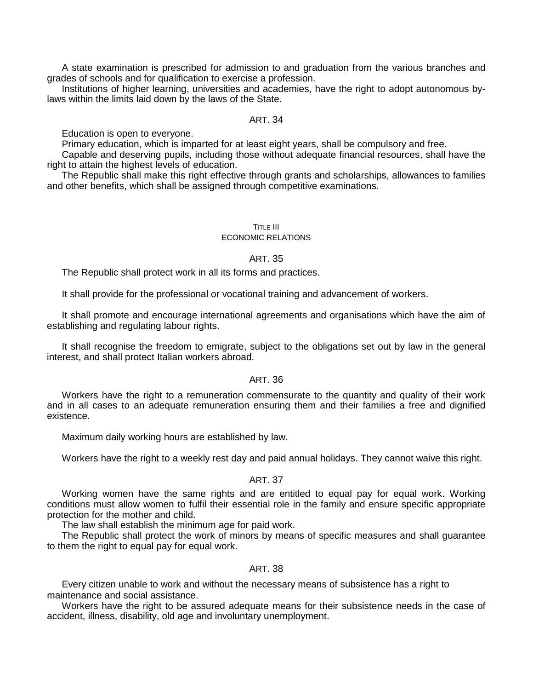A state examination is prescribed for admission to and graduation from the various branches and grades of schools and for qualification to exercise a profession.

Institutions of higher learning, universities and academies, have the right to adopt autonomous bylaws within the limits laid down by the laws of the State.

### ART. 34

Education is open to everyone.

Primary education, which is imparted for at least eight years, shall be compulsory and free.

Capable and deserving pupils, including those without adequate financial resources, shall have the right to attain the highest levels of education.

The Republic shall make this right effective through grants and scholarships, allowances to families and other benefits, which shall be assigned through competitive examinations.

#### **TITLE III** ECONOMIC RELATIONS

### ART. 35

The Republic shall protect work in all its forms and practices.

It shall provide for the professional or vocational training and advancement of workers.

It shall promote and encourage international agreements and organisations which have the aim of establishing and regulating labour rights.

It shall recognise the freedom to emigrate, subject to the obligations set out by law in the general interest, and shall protect Italian workers abroad.

#### ART. 36

Workers have the right to a remuneration commensurate to the quantity and quality of their work and in all cases to an adequate remuneration ensuring them and their families a free and dignified existence.

Maximum daily working hours are established by law.

Workers have the right to a weekly rest day and paid annual holidays. They cannot waive this right.

### ART. 37

Working women have the same rights and are entitled to equal pay for equal work. Working conditions must allow women to fulfil their essential role in the family and ensure specific appropriate protection for the mother and child.

The law shall establish the minimum age for paid work.

The Republic shall protect the work of minors by means of specific measures and shall guarantee to them the right to equal pay for equal work.

#### ART. 38

Every citizen unable to work and without the necessary means of subsistence has a right to maintenance and social assistance.

Workers have the right to be assured adequate means for their subsistence needs in the case of accident, illness, disability, old age and involuntary unemployment.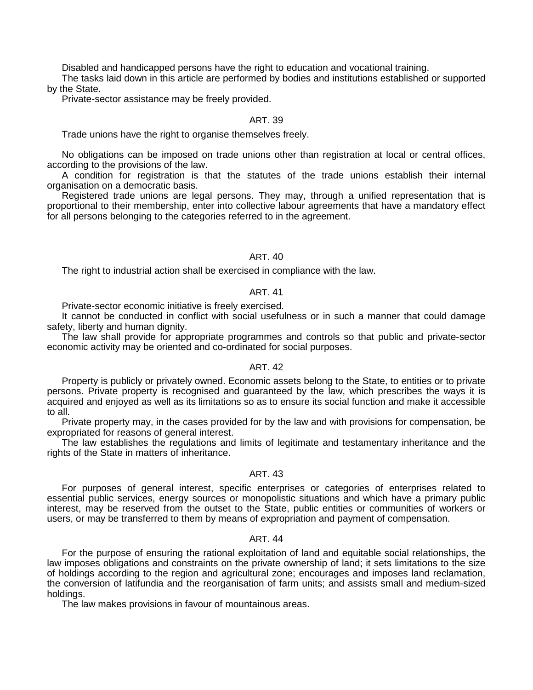Disabled and handicapped persons have the right to education and vocational training.

The tasks laid down in this article are performed by bodies and institutions established or supported by the State.

Private-sector assistance may be freely provided.

#### ART. 39

Trade unions have the right to organise themselves freely.

No obligations can be imposed on trade unions other than registration at local or central offices, according to the provisions of the law.

A condition for registration is that the statutes of the trade unions establish their internal organisation on a democratic basis.

Registered trade unions are legal persons. They may, through a unified representation that is proportional to their membership, enter into collective labour agreements that have a mandatory effect for all persons belonging to the categories referred to in the agreement.

# ART. 40

The right to industrial action shall be exercised in compliance with the law.

### ART. 41

Private-sector economic initiative is freely exercised.

It cannot be conducted in conflict with social usefulness or in such a manner that could damage safety, liberty and human dignity.

The law shall provide for appropriate programmes and controls so that public and private-sector economic activity may be oriented and co-ordinated for social purposes.

### ART. 42

Property is publicly or privately owned. Economic assets belong to the State, to entities or to private persons. Private property is recognised and guaranteed by the law, which prescribes the ways it is acquired and enjoyed as well as its limitations so as to ensure its social function and make it accessible to all.

Private property may, in the cases provided for by the law and with provisions for compensation, be expropriated for reasons of general interest.

The law establishes the regulations and limits of legitimate and testamentary inheritance and the rights of the State in matters of inheritance.

# ART. 43

For purposes of general interest, specific enterprises or categories of enterprises related to essential public services, energy sources or monopolistic situations and which have a primary public interest, may be reserved from the outset to the State, public entities or communities of workers or users, or may be transferred to them by means of expropriation and payment of compensation.

#### ART. 44

For the purpose of ensuring the rational exploitation of land and equitable social relationships, the law imposes obligations and constraints on the private ownership of land; it sets limitations to the size of holdings according to the region and agricultural zone; encourages and imposes land reclamation, the conversion of latifundia and the reorganisation of farm units; and assists small and medium-sized holdings.

The law makes provisions in favour of mountainous areas.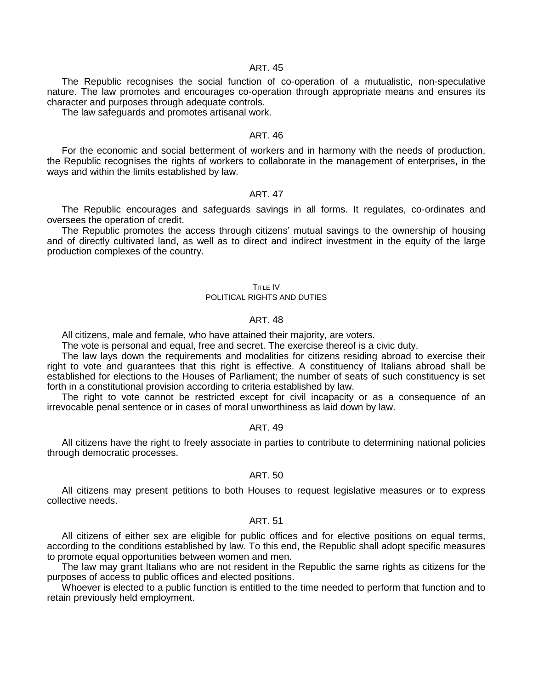The Republic recognises the social function of co-operation of a mutualistic, non-speculative nature. The law promotes and encourages co-operation through appropriate means and ensures its character and purposes through adequate controls.

The law safeguards and promotes artisanal work.

#### ART. 46

For the economic and social betterment of workers and in harmony with the needs of production, the Republic recognises the rights of workers to collaborate in the management of enterprises, in the ways and within the limits established by law.

#### ART 47

The Republic encourages and safeguards savings in all forms. It regulates, co-ordinates and oversees the operation of credit.

The Republic promotes the access through citizens' mutual savings to the ownership of housing and of directly cultivated land, as well as to direct and indirect investment in the equity of the large production complexes of the country.

#### **TITLE IV** POLITICAL RIGHTS AND DUTIES

#### ART. 48

All citizens, male and female, who have attained their majority, are voters.

The vote is personal and equal, free and secret. The exercise thereof is a civic duty.

The law lays down the requirements and modalities for citizens residing abroad to exercise their right to vote and guarantees that this right is effective. A constituency of Italians abroad shall be established for elections to the Houses of Parliament; the number of seats of such constituency is set forth in a constitutional provision according to criteria established by law.

The right to vote cannot be restricted except for civil incapacity or as a consequence of an irrevocable penal sentence or in cases of moral unworthiness as laid down by law.

#### ART. 49

All citizens have the right to freely associate in parties to contribute to determining national policies through democratic processes.

### ART. 50

All citizens may present petitions to both Houses to request legislative measures or to express collective needs.

## ART. 51

All citizens of either sex are eligible for public offices and for elective positions on equal terms, according to the conditions established by law. To this end, the Republic shall adopt specific measures to promote equal opportunities between women and men.

The law may grant Italians who are not resident in the Republic the same rights as citizens for the purposes of access to public offices and elected positions.

Whoever is elected to a public function is entitled to the time needed to perform that function and to retain previously held employment.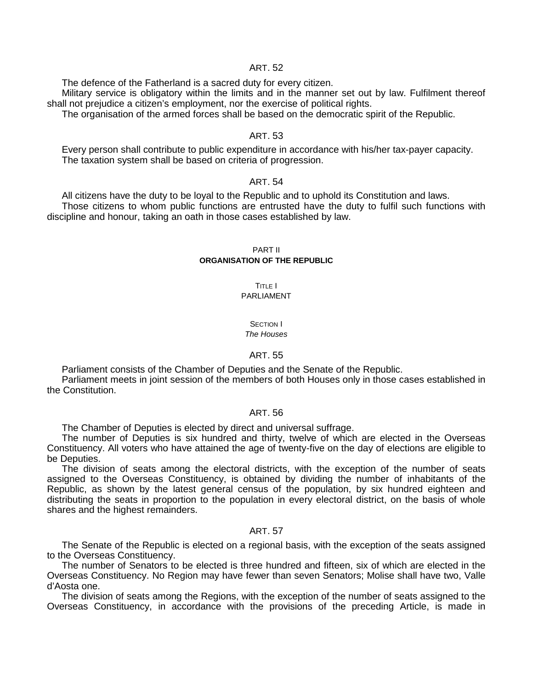The defence of the Fatherland is a sacred duty for every citizen.

Military service is obligatory within the limits and in the manner set out by law. Fulfilment thereof shall not prejudice a citizen's employment, nor the exercise of political rights.

The organisation of the armed forces shall be based on the democratic spirit of the Republic.

#### ART. 53

Every person shall contribute to public expenditure in accordance with his/her tax-payer capacity. The taxation system shall be based on criteria of progression.

### ART. 54

All citizens have the duty to be loyal to the Republic and to uphold its Constitution and laws. Those citizens to whom public functions are entrusted have the duty to fulfil such functions with discipline and honour, taking an oath in those cases established by law.

#### PART II **ORGANISATION OF THE REPUBLIC**

### TITLE I PARLIAMENT

#### SECTION I

### *The Houses*

#### ART. 55

Parliament consists of the Chamber of Deputies and the Senate of the Republic.

Parliament meets in joint session of the members of both Houses only in those cases established in the Constitution.

### ART. 56

The Chamber of Deputies is elected by direct and universal suffrage.

The number of Deputies is six hundred and thirty, twelve of which are elected in the Overseas Constituency. All voters who have attained the age of twenty-five on the day of elections are eligible to be Deputies.

The division of seats among the electoral districts, with the exception of the number of seats assigned to the Overseas Constituency, is obtained by dividing the number of inhabitants of the Republic, as shown by the latest general census of the population, by six hundred eighteen and distributing the seats in proportion to the population in every electoral district, on the basis of whole shares and the highest remainders.

# ART. 57

The Senate of the Republic is elected on a regional basis, with the exception of the seats assigned to the Overseas Constituency.

The number of Senators to be elected is three hundred and fifteen, six of which are elected in the Overseas Constituency. No Region may have fewer than seven Senators; Molise shall have two, Valle d'Aosta one.

The division of seats among the Regions, with the exception of the number of seats assigned to the Overseas Constituency, in accordance with the provisions of the preceding Article, is made in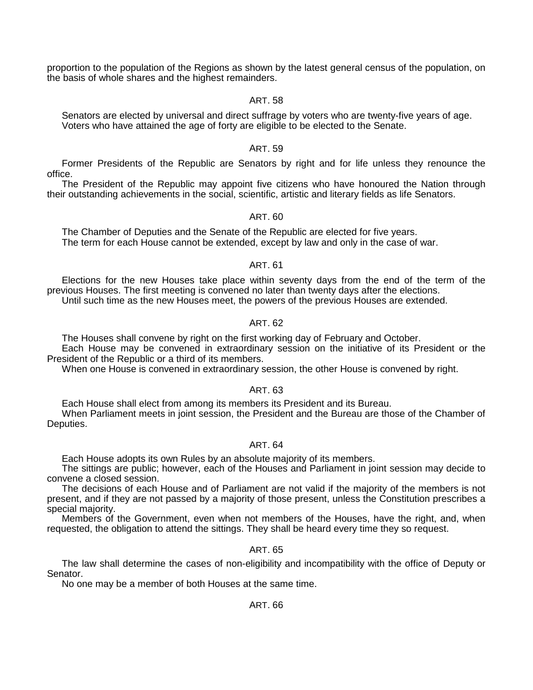proportion to the population of the Regions as shown by the latest general census of the population, on the basis of whole shares and the highest remainders.

# ART. 58

Senators are elected by universal and direct suffrage by voters who are twenty-five years of age. Voters who have attained the age of forty are eligible to be elected to the Senate.

# ART. 59

Former Presidents of the Republic are Senators by right and for life unless they renounce the office.

The President of the Republic may appoint five citizens who have honoured the Nation through their outstanding achievements in the social, scientific, artistic and literary fields as life Senators.

### ART. 60

The Chamber of Deputies and the Senate of the Republic are elected for five years. The term for each House cannot be extended, except by law and only in the case of war.

# ART. 61

Elections for the new Houses take place within seventy days from the end of the term of the previous Houses. The first meeting is convened no later than twenty days after the elections.

Until such time as the new Houses meet, the powers of the previous Houses are extended.

### ART. 62

The Houses shall convene by right on the first working day of February and October.

Each House may be convened in extraordinary session on the initiative of its President or the President of the Republic or a third of its members.

When one House is convened in extraordinary session, the other House is convened by right.

## ART. 63

Each House shall elect from among its members its President and its Bureau.

When Parliament meets in joint session, the President and the Bureau are those of the Chamber of Deputies.

# ART. 64

Each House adopts its own Rules by an absolute majority of its members.

The sittings are public; however, each of the Houses and Parliament in joint session may decide to convene a closed session.

The decisions of each House and of Parliament are not valid if the majority of the members is not present, and if they are not passed by a majority of those present, unless the Constitution prescribes a special majority.

Members of the Government, even when not members of the Houses, have the right, and, when requested, the obligation to attend the sittings. They shall be heard every time they so request.

### ART. 65

The law shall determine the cases of non-eligibility and incompatibility with the office of Deputy or Senator.

No one may be a member of both Houses at the same time.

### ART. 66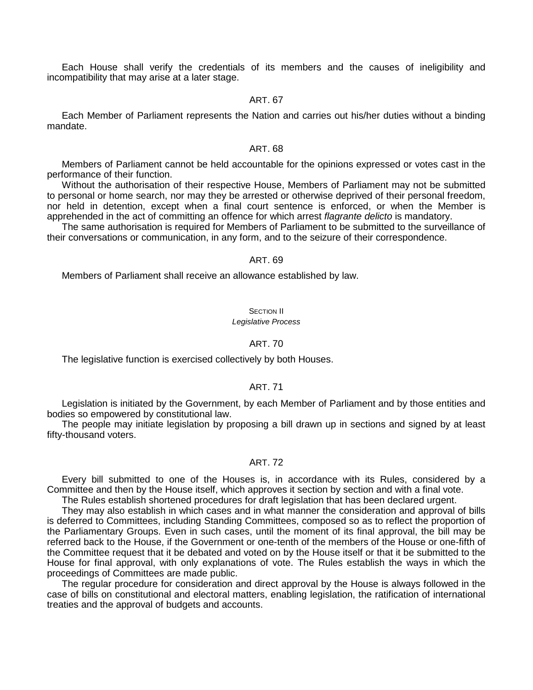Each House shall verify the credentials of its members and the causes of ineligibility and incompatibility that may arise at a later stage.

# ART. 67

Each Member of Parliament represents the Nation and carries out his/her duties without a binding mandate.

# ART. 68

Members of Parliament cannot be held accountable for the opinions expressed or votes cast in the performance of their function.

Without the authorisation of their respective House, Members of Parliament may not be submitted to personal or home search, nor may they be arrested or otherwise deprived of their personal freedom, nor held in detention, except when a final court sentence is enforced, or when the Member is apprehended in the act of committing an offence for which arrest *flagrante delicto* is mandatory.

The same authorisation is required for Members of Parliament to be submitted to the surveillance of their conversations or communication, in any form, and to the seizure of their correspondence.

#### ART. 69

Members of Parliament shall receive an allowance established by law.

# **SECTION II**

# *Legislative Process*

#### ART. 70

The legislative function is exercised collectively by both Houses.

#### ART. 71

Legislation is initiated by the Government, by each Member of Parliament and by those entities and bodies so empowered by constitutional law.

The people may initiate legislation by proposing a bill drawn up in sections and signed by at least fifty-thousand voters.

#### ART. 72

Every bill submitted to one of the Houses is, in accordance with its Rules, considered by a Committee and then by the House itself, which approves it section by section and with a final vote.

The Rules establish shortened procedures for draft legislation that has been declared urgent.

They may also establish in which cases and in what manner the consideration and approval of bills is deferred to Committees, including Standing Committees, composed so as to reflect the proportion of the Parliamentary Groups. Even in such cases, until the moment of its final approval, the bill may be referred back to the House, if the Government or one-tenth of the members of the House or one-fifth of the Committee request that it be debated and voted on by the House itself or that it be submitted to the House for final approval, with only explanations of vote. The Rules establish the ways in which the proceedings of Committees are made public.

The regular procedure for consideration and direct approval by the House is always followed in the case of bills on constitutional and electoral matters, enabling legislation, the ratification of international treaties and the approval of budgets and accounts.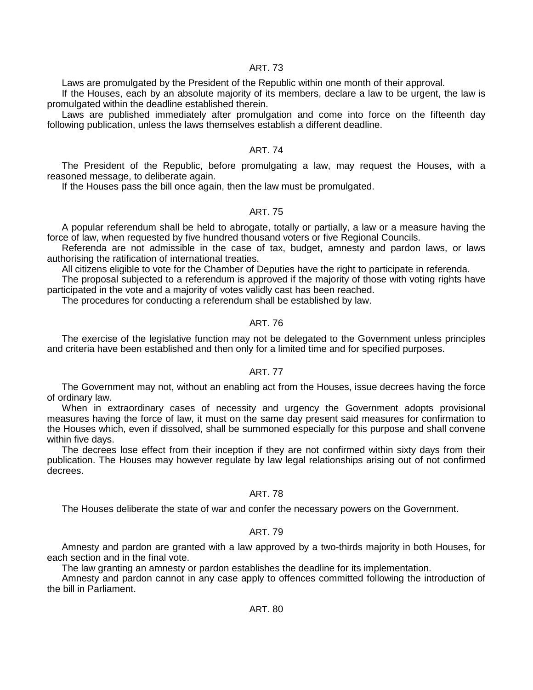Laws are promulgated by the President of the Republic within one month of their approval.

If the Houses, each by an absolute majority of its members, declare a law to be urgent, the law is promulgated within the deadline established therein.

Laws are published immediately after promulgation and come into force on the fifteenth day following publication, unless the laws themselves establish a different deadline.

# ART. 74

The President of the Republic, before promulgating a law, may request the Houses, with a reasoned message, to deliberate again.

If the Houses pass the bill once again, then the law must be promulgated.

### ART. 75

A popular referendum shall be held to abrogate, totally or partially, a law or a measure having the force of law, when requested by five hundred thousand voters or five Regional Councils.

Referenda are not admissible in the case of tax, budget, amnesty and pardon laws, or laws authorising the ratification of international treaties.

All citizens eligible to vote for the Chamber of Deputies have the right to participate in referenda.

The proposal subjected to a referendum is approved if the majority of those with voting rights have participated in the vote and a majority of votes validly cast has been reached.

The procedures for conducting a referendum shall be established by law.

#### ART. 76

The exercise of the legislative function may not be delegated to the Government unless principles and criteria have been established and then only for a limited time and for specified purposes.

# ART. 77

The Government may not, without an enabling act from the Houses, issue decrees having the force of ordinary law.

When in extraordinary cases of necessity and urgency the Government adopts provisional measures having the force of law, it must on the same day present said measures for confirmation to the Houses which, even if dissolved, shall be summoned especially for this purpose and shall convene within five days.

The decrees lose effect from their inception if they are not confirmed within sixty days from their publication. The Houses may however regulate by law legal relationships arising out of not confirmed decrees.

# ART. 78

The Houses deliberate the state of war and confer the necessary powers on the Government.

## ART. 79

Amnesty and pardon are granted with a law approved by a two-thirds majority in both Houses, for each section and in the final vote.

The law granting an amnesty or pardon establishes the deadline for its implementation.

Amnesty and pardon cannot in any case apply to offences committed following the introduction of the bill in Parliament.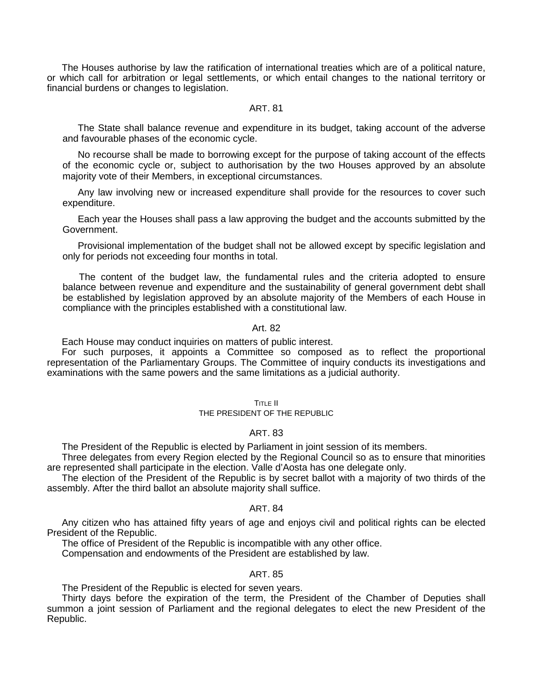The Houses authorise by law the ratification of international treaties which are of a political nature, or which call for arbitration or legal settlements, or which entail changes to the national territory or financial burdens or changes to legislation.

ART. 81

The State shall balance revenue and expenditure in its budget, taking account of the adverse and favourable phases of the economic cycle.

No recourse shall be made to borrowing except for the purpose of taking account of the effects of the economic cycle or, subject to authorisation by the two Houses approved by an absolute majority vote of their Members, in exceptional circumstances.

Any law involving new or increased expenditure shall provide for the resources to cover such expenditure.

Each year the Houses shall pass a law approving the budget and the accounts submitted by the Government.

Provisional implementation of the budget shall not be allowed except by specific legislation and only for periods not exceeding four months in total.

 The content of the budget law, the fundamental rules and the criteria adopted to ensure balance between revenue and expenditure and the sustainability of general government debt shall be established by legislation approved by an absolute majority of the Members of each House in compliance with the principles established with a constitutional law.

#### Art. 82

Each House may conduct inquiries on matters of public interest.

For such purposes, it appoints a Committee so composed as to reflect the proportional representation of the Parliamentary Groups. The Committee of inquiry conducts its investigations and examinations with the same powers and the same limitations as a judicial authority.

#### TITLE II

## THE PRESIDENT OF THE REPUBLIC

#### ART. 83

The President of the Republic is elected by Parliament in joint session of its members.

Three delegates from every Region elected by the Regional Council so as to ensure that minorities are represented shall participate in the election. Valle d'Aosta has one delegate only.

The election of the President of the Republic is by secret ballot with a majority of two thirds of the assembly. After the third ballot an absolute majority shall suffice.

#### ART. 84

Any citizen who has attained fifty years of age and enjoys civil and political rights can be elected President of the Republic.

The office of President of the Republic is incompatible with any other office.

Compensation and endowments of the President are established by law.

### ART. 85

The President of the Republic is elected for seven years.

Thirty days before the expiration of the term, the President of the Chamber of Deputies shall summon a joint session of Parliament and the regional delegates to elect the new President of the Republic.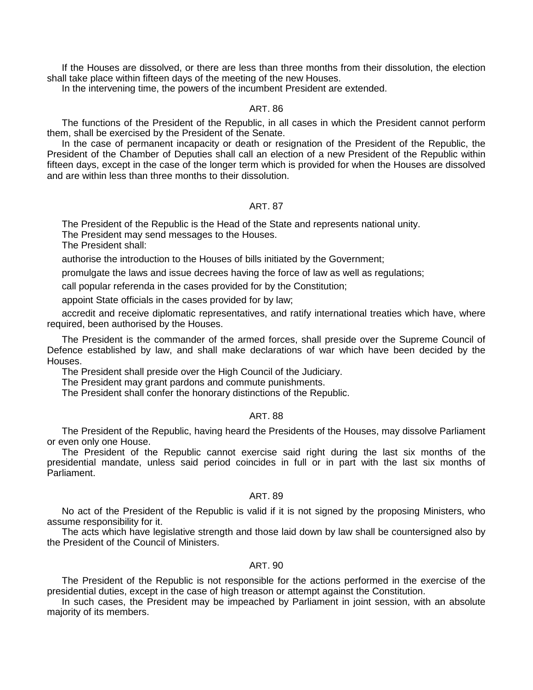If the Houses are dissolved, or there are less than three months from their dissolution, the election shall take place within fifteen days of the meeting of the new Houses.

In the intervening time, the powers of the incumbent President are extended.

### ART. 86

The functions of the President of the Republic, in all cases in which the President cannot perform them, shall be exercised by the President of the Senate.

In the case of permanent incapacity or death or resignation of the President of the Republic, the President of the Chamber of Deputies shall call an election of a new President of the Republic within fifteen days, except in the case of the longer term which is provided for when the Houses are dissolved and are within less than three months to their dissolution.

### ART. 87

The President of the Republic is the Head of the State and represents national unity.

The President may send messages to the Houses.

The President shall:

authorise the introduction to the Houses of bills initiated by the Government;

promulgate the laws and issue decrees having the force of law as well as regulations;

call popular referenda in the cases provided for by the Constitution;

appoint State officials in the cases provided for by law;

accredit and receive diplomatic representatives, and ratify international treaties which have, where required, been authorised by the Houses.

The President is the commander of the armed forces, shall preside over the Supreme Council of Defence established by law, and shall make declarations of war which have been decided by the Houses.

The President shall preside over the High Council of the Judiciary.

The President may grant pardons and commute punishments.

The President shall confer the honorary distinctions of the Republic.

# ART. 88

The President of the Republic, having heard the Presidents of the Houses, may dissolve Parliament or even only one House.

The President of the Republic cannot exercise said right during the last six months of the presidential mandate, unless said period coincides in full or in part with the last six months of Parliament.

### ART. 89

No act of the President of the Republic is valid if it is not signed by the proposing Ministers, who assume responsibility for it.

The acts which have legislative strength and those laid down by law shall be countersigned also by the President of the Council of Ministers.

#### ART. 90

The President of the Republic is not responsible for the actions performed in the exercise of the presidential duties, except in the case of high treason or attempt against the Constitution.

In such cases, the President may be impeached by Parliament in joint session, with an absolute majority of its members.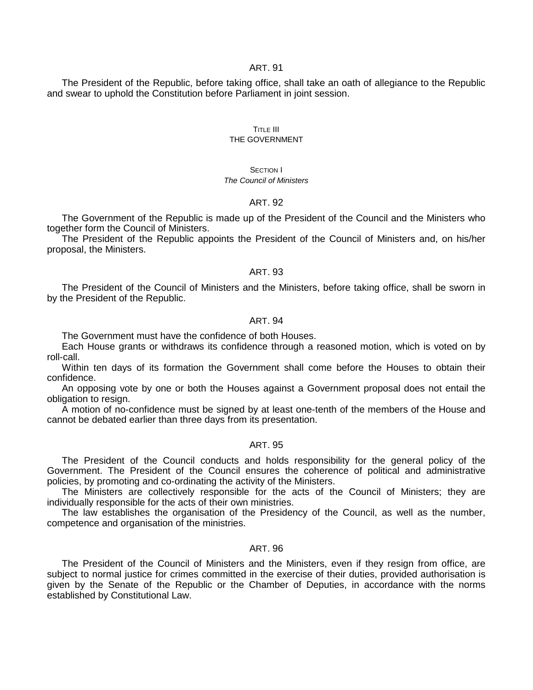The President of the Republic, before taking office, shall take an oath of allegiance to the Republic and swear to uphold the Constitution before Parliament in joint session.

#### **TITLE III** THE GOVERNMENT

# SECTION I

### *The Council of Ministers*

## ART. 92

The Government of the Republic is made up of the President of the Council and the Ministers who together form the Council of Ministers.

The President of the Republic appoints the President of the Council of Ministers and, on his/her proposal, the Ministers.

# ART. 93

The President of the Council of Ministers and the Ministers, before taking office, shall be sworn in by the President of the Republic.

# ART. 94

The Government must have the confidence of both Houses.

Each House grants or withdraws its confidence through a reasoned motion, which is voted on by roll-call.

Within ten days of its formation the Government shall come before the Houses to obtain their confidence.

An opposing vote by one or both the Houses against a Government proposal does not entail the obligation to resign.

A motion of no-confidence must be signed by at least one-tenth of the members of the House and cannot be debated earlier than three days from its presentation.

# ART. 95

The President of the Council conducts and holds responsibility for the general policy of the Government. The President of the Council ensures the coherence of political and administrative policies, by promoting and co-ordinating the activity of the Ministers.

The Ministers are collectively responsible for the acts of the Council of Ministers; they are individually responsible for the acts of their own ministries.

The law establishes the organisation of the Presidency of the Council, as well as the number, competence and organisation of the ministries.

# ART. 96

The President of the Council of Ministers and the Ministers, even if they resign from office, are subject to normal justice for crimes committed in the exercise of their duties, provided authorisation is given by the Senate of the Republic or the Chamber of Deputies, in accordance with the norms established by Constitutional Law.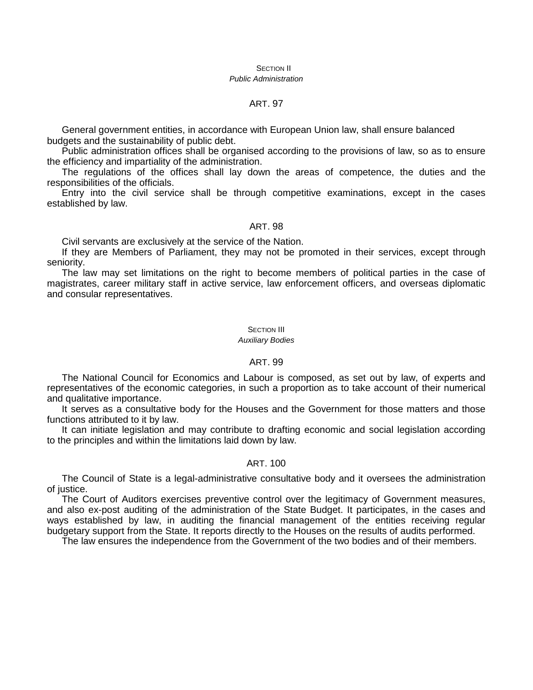#### SECTION II *Public Administration*

### ART. 97

General government entities, in accordance with European Union law, shall ensure balanced budgets and the sustainability of public debt.

Public administration offices shall be organised according to the provisions of law, so as to ensure the efficiency and impartiality of the administration.

The regulations of the offices shall lay down the areas of competence, the duties and the responsibilities of the officials.

Entry into the civil service shall be through competitive examinations, except in the cases established by law.

### ART. 98

Civil servants are exclusively at the service of the Nation.

If they are Members of Parliament, they may not be promoted in their services, except through seniority.

The law may set limitations on the right to become members of political parties in the case of magistrates, career military staff in active service, law enforcement officers, and overseas diplomatic and consular representatives.

### **SECTION III**

#### *Auxiliary Bodies*

### ART. 99

The National Council for Economics and Labour is composed, as set out by law, of experts and representatives of the economic categories, in such a proportion as to take account of their numerical and qualitative importance.

It serves as a consultative body for the Houses and the Government for those matters and those functions attributed to it by law.

It can initiate legislation and may contribute to drafting economic and social legislation according to the principles and within the limitations laid down by law.

### ART. 100

The Council of State is a legal-administrative consultative body and it oversees the administration of justice.

The Court of Auditors exercises preventive control over the legitimacy of Government measures, and also ex-post auditing of the administration of the State Budget. It participates, in the cases and ways established by law, in auditing the financial management of the entities receiving regular budgetary support from the State. It reports directly to the Houses on the results of audits performed.

The law ensures the independence from the Government of the two bodies and of their members.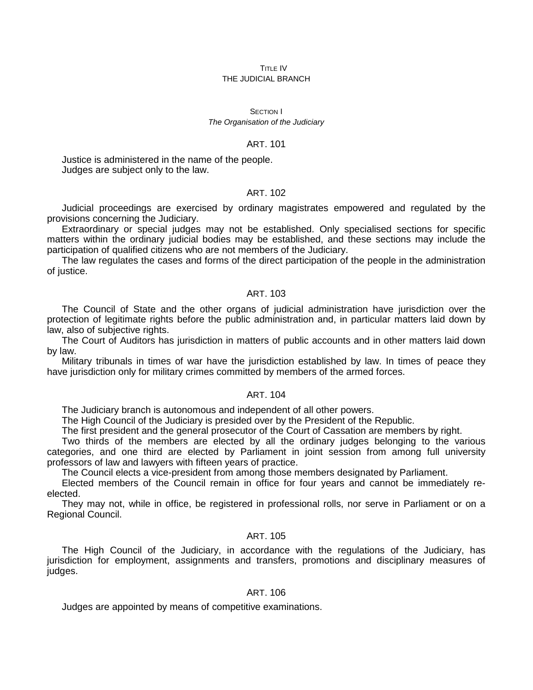#### $TITI$  F  $IV$ THE JUDICIAL BRANCH

### SECTION I *The Organisation of the Judiciary*

#### ART. 101

Justice is administered in the name of the people. Judges are subject only to the law.

# ART. 102

Judicial proceedings are exercised by ordinary magistrates empowered and regulated by the provisions concerning the Judiciary.

Extraordinary or special judges may not be established. Only specialised sections for specific matters within the ordinary judicial bodies may be established, and these sections may include the participation of qualified citizens who are not members of the Judiciary.

The law regulates the cases and forms of the direct participation of the people in the administration of justice.

## ART. 103

The Council of State and the other organs of judicial administration have jurisdiction over the protection of legitimate rights before the public administration and, in particular matters laid down by law, also of subjective rights.

The Court of Auditors has jurisdiction in matters of public accounts and in other matters laid down by law.

Military tribunals in times of war have the jurisdiction established by law. In times of peace they have jurisdiction only for military crimes committed by members of the armed forces.

# ART. 104

The Judiciary branch is autonomous and independent of all other powers.

The High Council of the Judiciary is presided over by the President of the Republic.

The first president and the general prosecutor of the Court of Cassation are members by right.

Two thirds of the members are elected by all the ordinary judges belonging to the various categories, and one third are elected by Parliament in joint session from among full university professors of law and lawyers with fifteen years of practice.

The Council elects a vice-president from among those members designated by Parliament.

Elected members of the Council remain in office for four years and cannot be immediately reelected.

They may not, while in office, be registered in professional rolls, nor serve in Parliament or on a Regional Council.

### ART. 105

The High Council of the Judiciary, in accordance with the regulations of the Judiciary, has jurisdiction for employment, assignments and transfers, promotions and disciplinary measures of judges.

### ART. 106

Judges are appointed by means of competitive examinations.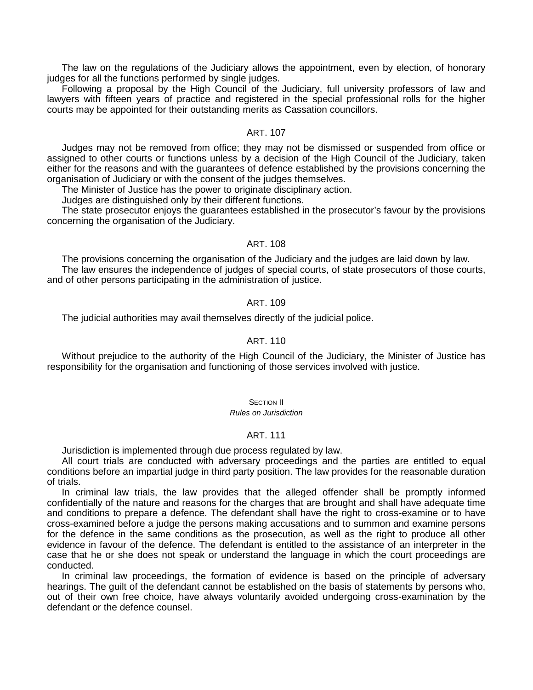The law on the regulations of the Judiciary allows the appointment, even by election, of honorary judges for all the functions performed by single judges.

Following a proposal by the High Council of the Judiciary, full university professors of law and lawyers with fifteen years of practice and registered in the special professional rolls for the higher courts may be appointed for their outstanding merits as Cassation councillors.

# ART. 107

Judges may not be removed from office; they may not be dismissed or suspended from office or assigned to other courts or functions unless by a decision of the High Council of the Judiciary, taken either for the reasons and with the guarantees of defence established by the provisions concerning the organisation of Judiciary or with the consent of the judges themselves.

The Minister of Justice has the power to originate disciplinary action.

Judges are distinguished only by their different functions.

The state prosecutor enjoys the guarantees established in the prosecutor's favour by the provisions concerning the organisation of the Judiciary.

# ART. 108

The provisions concerning the organisation of the Judiciary and the judges are laid down by law. The law ensures the independence of judges of special courts, of state prosecutors of those courts, and of other persons participating in the administration of justice.

# ART. 109

The judicial authorities may avail themselves directly of the judicial police.

# ART. 110

Without prejudice to the authority of the High Council of the Judiciary, the Minister of Justice has responsibility for the organisation and functioning of those services involved with justice.

#### **SECTION II**

#### *Rules on Jurisdiction*

#### ART. 111

Jurisdiction is implemented through due process regulated by law.

All court trials are conducted with adversary proceedings and the parties are entitled to equal conditions before an impartial judge in third party position. The law provides for the reasonable duration of trials.

In criminal law trials, the law provides that the alleged offender shall be promptly informed confidentially of the nature and reasons for the charges that are brought and shall have adequate time and conditions to prepare a defence. The defendant shall have the right to cross-examine or to have cross-examined before a judge the persons making accusations and to summon and examine persons for the defence in the same conditions as the prosecution, as well as the right to produce all other evidence in favour of the defence. The defendant is entitled to the assistance of an interpreter in the case that he or she does not speak or understand the language in which the court proceedings are conducted.

In criminal law proceedings, the formation of evidence is based on the principle of adversary hearings. The guilt of the defendant cannot be established on the basis of statements by persons who, out of their own free choice, have always voluntarily avoided undergoing cross-examination by the defendant or the defence counsel.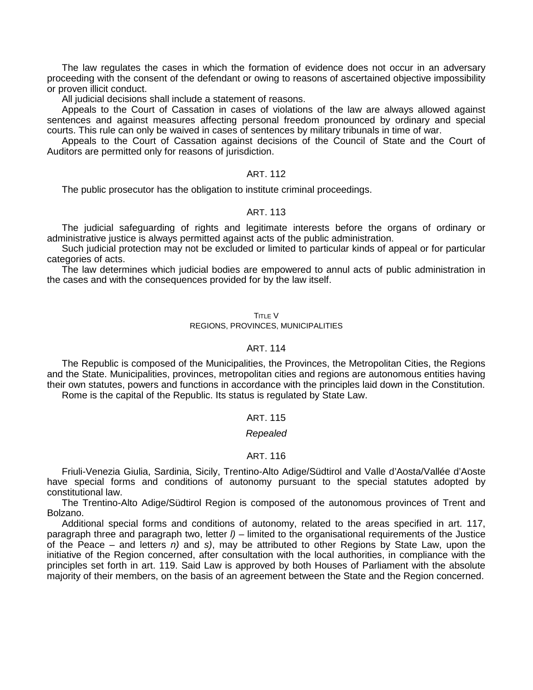The law regulates the cases in which the formation of evidence does not occur in an adversary proceeding with the consent of the defendant or owing to reasons of ascertained objective impossibility or proven illicit conduct.

All judicial decisions shall include a statement of reasons.

Appeals to the Court of Cassation in cases of violations of the law are always allowed against sentences and against measures affecting personal freedom pronounced by ordinary and special courts. This rule can only be waived in cases of sentences by military tribunals in time of war.

Appeals to the Court of Cassation against decisions of the Council of State and the Court of Auditors are permitted only for reasons of jurisdiction.

# ART. 112

The public prosecutor has the obligation to institute criminal proceedings.

### ART. 113

The judicial safeguarding of rights and legitimate interests before the organs of ordinary or administrative justice is always permitted against acts of the public administration.

Such judicial protection may not be excluded or limited to particular kinds of appeal or for particular categories of acts.

The law determines which judicial bodies are empowered to annul acts of public administration in the cases and with the consequences provided for by the law itself.

#### **TITLE V**

#### REGIONS, PROVINCES, MUNICIPALITIES

#### ART. 114

The Republic is composed of the Municipalities, the Provinces, the Metropolitan Cities, the Regions and the State. Municipalities, provinces, metropolitan cities and regions are autonomous entities having their own statutes, powers and functions in accordance with the principles laid down in the Constitution. Rome is the capital of the Republic. Its status is regulated by State Law.

# ART. 115

#### *Repealed*

# ART. 116

Friuli-Venezia Giulia, Sardinia, Sicily, Trentino-Alto Adige/Südtirol and Valle d'Aosta/Vallée d'Aoste have special forms and conditions of autonomy pursuant to the special statutes adopted by constitutional law.

The Trentino-Alto Adige/Südtirol Region is composed of the autonomous provinces of Trent and Bolzano.

Additional special forms and conditions of autonomy, related to the areas specified in art. 117, paragraph three and paragraph two, letter *l)* – limited to the organisational requirements of the Justice of the Peace – and letters *n)* and *s)*, may be attributed to other Regions by State Law, upon the initiative of the Region concerned, after consultation with the local authorities, in compliance with the principles set forth in art. 119. Said Law is approved by both Houses of Parliament with the absolute majority of their members, on the basis of an agreement between the State and the Region concerned.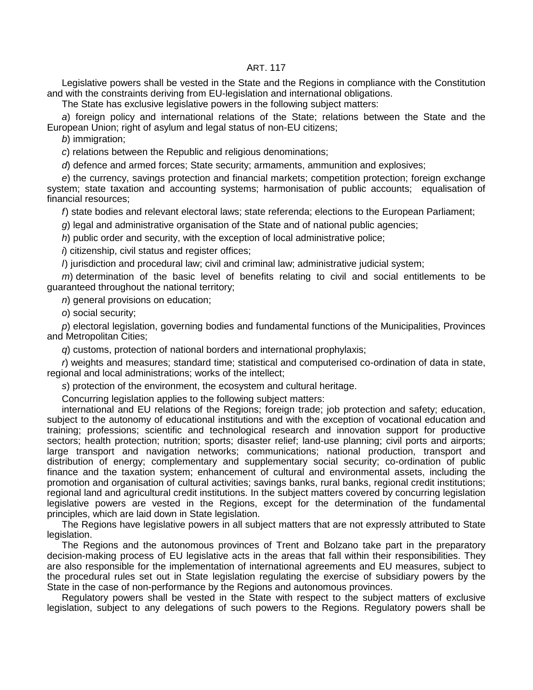Legislative powers shall be vested in the State and the Regions in compliance with the Constitution and with the constraints deriving from EU-legislation and international obligations.

The State has exclusive legislative powers in the following subject matters:

*a*) foreign policy and international relations of the State; relations between the State and the European Union; right of asylum and legal status of non-EU citizens;

*b*) immigration;

*c*) relations between the Republic and religious denominations;

*d*) defence and armed forces; State security; armaments, ammunition and explosives;

*e*) the currency, savings protection and financial markets; competition protection; foreign exchange system; state taxation and accounting systems; harmonisation of public accounts; equalisation of financial resources;

*f*) state bodies and relevant electoral laws; state referenda; elections to the European Parliament;

*g*) legal and administrative organisation of the State and of national public agencies;

*h*) public order and security, with the exception of local administrative police;

*i*) citizenship, civil status and register offices;

*l*) jurisdiction and procedural law; civil and criminal law; administrative judicial system;

*m*) determination of the basic level of benefits relating to civil and social entitlements to be guaranteed throughout the national territory;

*n*) general provisions on education;

*o*) social security;

*p*) electoral legislation, governing bodies and fundamental functions of the Municipalities, Provinces and Metropolitan Cities;

*q*) customs, protection of national borders and international prophylaxis;

*r*) weights and measures; standard time; statistical and computerised co-ordination of data in state, regional and local administrations; works of the intellect;

*s*) protection of the environment, the ecosystem and cultural heritage.

Concurring legislation applies to the following subject matters:

international and EU relations of the Regions; foreign trade; job protection and safety; education, subject to the autonomy of educational institutions and with the exception of vocational education and training; professions; scientific and technological research and innovation support for productive sectors; health protection; nutrition; sports; disaster relief; land-use planning; civil ports and airports; large transport and navigation networks; communications; national production, transport and distribution of energy; complementary and supplementary social security; co-ordination of public finance and the taxation system; enhancement of cultural and environmental assets, including the promotion and organisation of cultural activities; savings banks, rural banks, regional credit institutions; regional land and agricultural credit institutions. In the subject matters covered by concurring legislation legislative powers are vested in the Regions, except for the determination of the fundamental principles, which are laid down in State legislation.

The Regions have legislative powers in all subject matters that are not expressly attributed to State legislation.

The Regions and the autonomous provinces of Trent and Bolzano take part in the preparatory decision-making process of EU legislative acts in the areas that fall within their responsibilities. They are also responsible for the implementation of international agreements and EU measures, subject to the procedural rules set out in State legislation regulating the exercise of subsidiary powers by the State in the case of non-performance by the Regions and autonomous provinces.

Regulatory powers shall be vested in the State with respect to the subject matters of exclusive legislation, subject to any delegations of such powers to the Regions. Regulatory powers shall be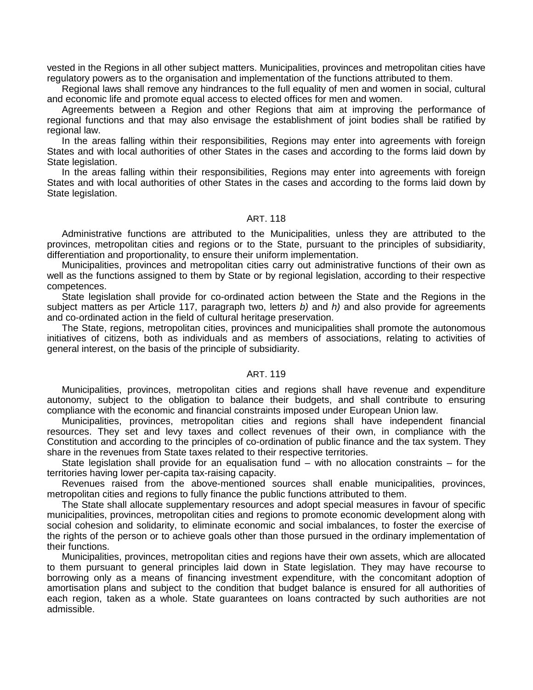vested in the Regions in all other subject matters. Municipalities, provinces and metropolitan cities have regulatory powers as to the organisation and implementation of the functions attributed to them.

Regional laws shall remove any hindrances to the full equality of men and women in social, cultural and economic life and promote equal access to elected offices for men and women.

Agreements between a Region and other Regions that aim at improving the performance of regional functions and that may also envisage the establishment of joint bodies shall be ratified by regional law.

In the areas falling within their responsibilities, Regions may enter into agreements with foreign States and with local authorities of other States in the cases and according to the forms laid down by State legislation.

In the areas falling within their responsibilities, Regions may enter into agreements with foreign States and with local authorities of other States in the cases and according to the forms laid down by State legislation.

#### ART. 118

Administrative functions are attributed to the Municipalities, unless they are attributed to the provinces, metropolitan cities and regions or to the State, pursuant to the principles of subsidiarity, differentiation and proportionality, to ensure their uniform implementation.

Municipalities, provinces and metropolitan cities carry out administrative functions of their own as well as the functions assigned to them by State or by regional legislation, according to their respective competences.

State legislation shall provide for co-ordinated action between the State and the Regions in the subject matters as per Article 117, paragraph two, letters *b)* and *h)* and also provide for agreements and co-ordinated action in the field of cultural heritage preservation.

The State, regions, metropolitan cities, provinces and municipalities shall promote the autonomous initiatives of citizens, both as individuals and as members of associations, relating to activities of general interest, on the basis of the principle of subsidiarity.

### ART. 119

Municipalities, provinces, metropolitan cities and regions shall have revenue and expenditure autonomy, subject to the obligation to balance their budgets, and shall contribute to ensuring compliance with the economic and financial constraints imposed under European Union law.

Municipalities, provinces, metropolitan cities and regions shall have independent financial resources. They set and levy taxes and collect revenues of their own, in compliance with the Constitution and according to the principles of co-ordination of public finance and the tax system. They share in the revenues from State taxes related to their respective territories.

State legislation shall provide for an equalisation fund – with no allocation constraints – for the territories having lower per-capita tax-raising capacity.

Revenues raised from the above-mentioned sources shall enable municipalities, provinces, metropolitan cities and regions to fully finance the public functions attributed to them.

The State shall allocate supplementary resources and adopt special measures in favour of specific municipalities, provinces, metropolitan cities and regions to promote economic development along with social cohesion and solidarity, to eliminate economic and social imbalances, to foster the exercise of the rights of the person or to achieve goals other than those pursued in the ordinary implementation of their functions.

Municipalities, provinces, metropolitan cities and regions have their own assets, which are allocated to them pursuant to general principles laid down in State legislation. They may have recourse to borrowing only as a means of financing investment expenditure, with the concomitant adoption of amortisation plans and subject to the condition that budget balance is ensured for all authorities of each region, taken as a whole. State guarantees on loans contracted by such authorities are not admissible.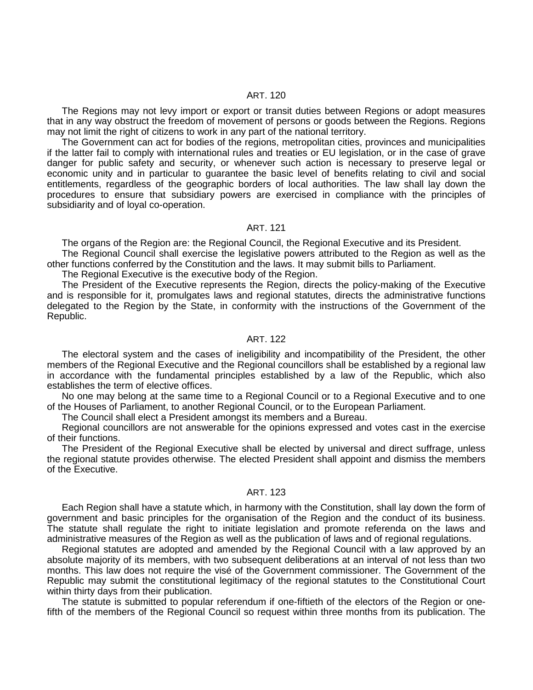The Regions may not levy import or export or transit duties between Regions or adopt measures that in any way obstruct the freedom of movement of persons or goods between the Regions. Regions may not limit the right of citizens to work in any part of the national territory.

The Government can act for bodies of the regions, metropolitan cities, provinces and municipalities if the latter fail to comply with international rules and treaties or EU legislation, or in the case of grave danger for public safety and security, or whenever such action is necessary to preserve legal or economic unity and in particular to guarantee the basic level of benefits relating to civil and social entitlements, regardless of the geographic borders of local authorities. The law shall lay down the procedures to ensure that subsidiary powers are exercised in compliance with the principles of subsidiarity and of loyal co-operation.

#### ART. 121

The organs of the Region are: the Regional Council, the Regional Executive and its President. The Regional Council shall exercise the legislative powers attributed to the Region as well as the

other functions conferred by the Constitution and the laws. It may submit bills to Parliament.

The Regional Executive is the executive body of the Region.

The President of the Executive represents the Region, directs the policy-making of the Executive and is responsible for it, promulgates laws and regional statutes, directs the administrative functions delegated to the Region by the State, in conformity with the instructions of the Government of the Republic.

# ART. 122

The electoral system and the cases of ineligibility and incompatibility of the President, the other members of the Regional Executive and the Regional councillors shall be established by a regional law in accordance with the fundamental principles established by a law of the Republic, which also establishes the term of elective offices.

No one may belong at the same time to a Regional Council or to a Regional Executive and to one of the Houses of Parliament, to another Regional Council, or to the European Parliament.

The Council shall elect a President amongst its members and a Bureau.

Regional councillors are not answerable for the opinions expressed and votes cast in the exercise of their functions.

The President of the Regional Executive shall be elected by universal and direct suffrage, unless the regional statute provides otherwise. The elected President shall appoint and dismiss the members of the Executive.

#### ART. 123

Each Region shall have a statute which, in harmony with the Constitution, shall lay down the form of government and basic principles for the organisation of the Region and the conduct of its business. The statute shall regulate the right to initiate legislation and promote referenda on the laws and administrative measures of the Region as well as the publication of laws and of regional regulations.

Regional statutes are adopted and amended by the Regional Council with a law approved by an absolute majority of its members, with two subsequent deliberations at an interval of not less than two months. This law does not require the visé of the Government commissioner. The Government of the Republic may submit the constitutional legitimacy of the regional statutes to the Constitutional Court within thirty days from their publication.

The statute is submitted to popular referendum if one-fiftieth of the electors of the Region or onefifth of the members of the Regional Council so request within three months from its publication. The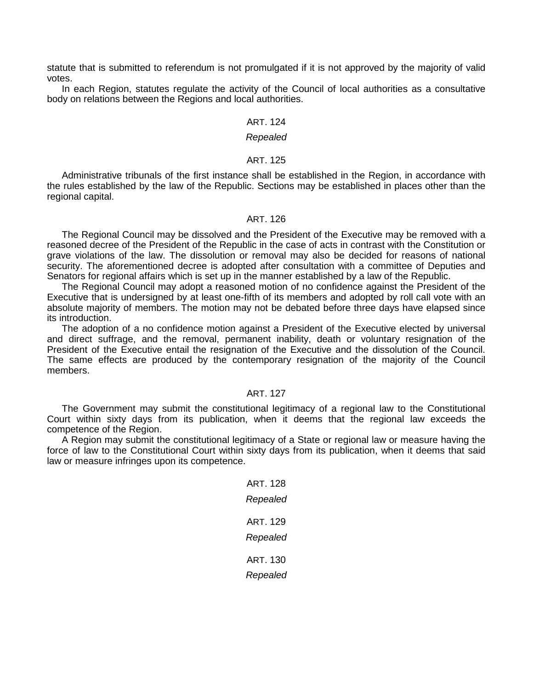statute that is submitted to referendum is not promulgated if it is not approved by the majority of valid votes.

In each Region, statutes regulate the activity of the Council of local authorities as a consultative body on relations between the Regions and local authorities.

#### ART. 124

#### *Repealed*

### ART. 125

Administrative tribunals of the first instance shall be established in the Region, in accordance with the rules established by the law of the Republic. Sections may be established in places other than the regional capital.

### ART. 126

The Regional Council may be dissolved and the President of the Executive may be removed with a reasoned decree of the President of the Republic in the case of acts in contrast with the Constitution or grave violations of the law. The dissolution or removal may also be decided for reasons of national security. The aforementioned decree is adopted after consultation with a committee of Deputies and Senators for regional affairs which is set up in the manner established by a law of the Republic.

The Regional Council may adopt a reasoned motion of no confidence against the President of the Executive that is undersigned by at least one-fifth of its members and adopted by roll call vote with an absolute majority of members. The motion may not be debated before three days have elapsed since its introduction.

The adoption of a no confidence motion against a President of the Executive elected by universal and direct suffrage, and the removal, permanent inability, death or voluntary resignation of the President of the Executive entail the resignation of the Executive and the dissolution of the Council. The same effects are produced by the contemporary resignation of the majority of the Council members.

# ART. 127

The Government may submit the constitutional legitimacy of a regional law to the Constitutional Court within sixty days from its publication, when it deems that the regional law exceeds the competence of the Region.

A Region may submit the constitutional legitimacy of a State or regional law or measure having the force of law to the Constitutional Court within sixty days from its publication, when it deems that said law or measure infringes upon its competence.

| <b>ART. 128</b> |
|-----------------|
| Repealed        |
| <b>ART. 129</b> |
| Repealed        |
| <b>ART. 130</b> |
| Repealed        |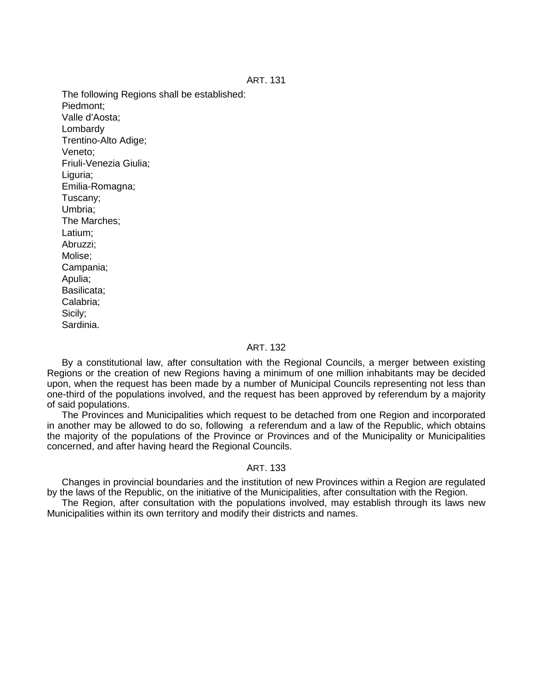The following Regions shall be established: Piedmont; Valle d'Aosta; Lombardy Trentino-Alto Adige; Veneto; Friuli-Venezia Giulia; Liguria: Emilia-Romagna; Tuscany; Umbria; The Marches; Latium; Abruzzi; Molise; Campania; Apulia; Basilicata; Calabria; Sicily; Sardinia.

#### ART. 132

By a constitutional law, after consultation with the Regional Councils, a merger between existing Regions or the creation of new Regions having a minimum of one million inhabitants may be decided upon, when the request has been made by a number of Municipal Councils representing not less than one-third of the populations involved, and the request has been approved by referendum by a majority of said populations.

The Provinces and Municipalities which request to be detached from one Region and incorporated in another may be allowed to do so, following a referendum and a law of the Republic, which obtains the majority of the populations of the Province or Provinces and of the Municipality or Municipalities concerned, and after having heard the Regional Councils.

## ART. 133

Changes in provincial boundaries and the institution of new Provinces within a Region are regulated by the laws of the Republic, on the initiative of the Municipalities, after consultation with the Region.

The Region, after consultation with the populations involved, may establish through its laws new Municipalities within its own territory and modify their districts and names.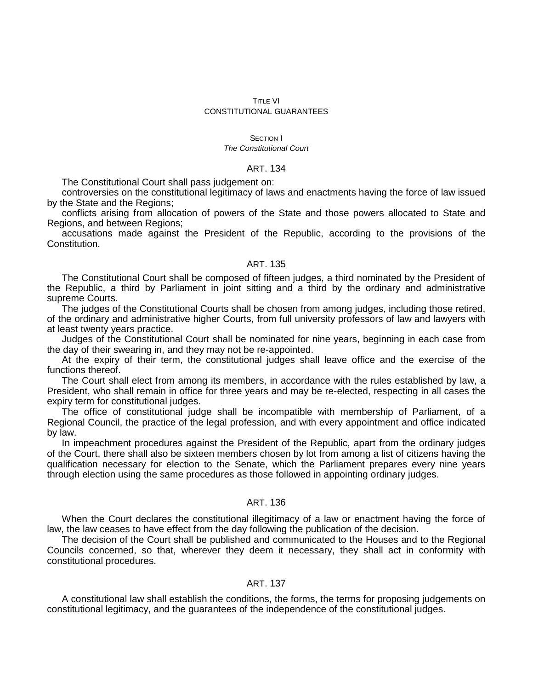### **TITLE VI** CONSTITUTIONAL GUARANTEES

#### SECTION I

### *The Constitutional Court*

#### ART. 134

The Constitutional Court shall pass judgement on:

controversies on the constitutional legitimacy of laws and enactments having the force of law issued by the State and the Regions;

conflicts arising from allocation of powers of the State and those powers allocated to State and Regions, and between Regions;

accusations made against the President of the Republic, according to the provisions of the Constitution.

# ART. 135

The Constitutional Court shall be composed of fifteen judges, a third nominated by the President of the Republic, a third by Parliament in joint sitting and a third by the ordinary and administrative supreme Courts.

The judges of the Constitutional Courts shall be chosen from among judges, including those retired, of the ordinary and administrative higher Courts, from full university professors of law and lawyers with at least twenty years practice.

Judges of the Constitutional Court shall be nominated for nine years, beginning in each case from the day of their swearing in, and they may not be re-appointed.

At the expiry of their term, the constitutional judges shall leave office and the exercise of the functions thereof.

The Court shall elect from among its members, in accordance with the rules established by law, a President, who shall remain in office for three years and may be re-elected, respecting in all cases the expiry term for constitutional judges.

The office of constitutional judge shall be incompatible with membership of Parliament, of a Regional Council, the practice of the legal profession, and with every appointment and office indicated by law.

In impeachment procedures against the President of the Republic, apart from the ordinary judges of the Court, there shall also be sixteen members chosen by lot from among a list of citizens having the qualification necessary for election to the Senate, which the Parliament prepares every nine years through election using the same procedures as those followed in appointing ordinary judges.

# ART. 136

When the Court declares the constitutional illegitimacy of a law or enactment having the force of law, the law ceases to have effect from the day following the publication of the decision.

The decision of the Court shall be published and communicated to the Houses and to the Regional Councils concerned, so that, wherever they deem it necessary, they shall act in conformity with constitutional procedures.

### ART. 137

A constitutional law shall establish the conditions, the forms, the terms for proposing judgements on constitutional legitimacy, and the guarantees of the independence of the constitutional judges.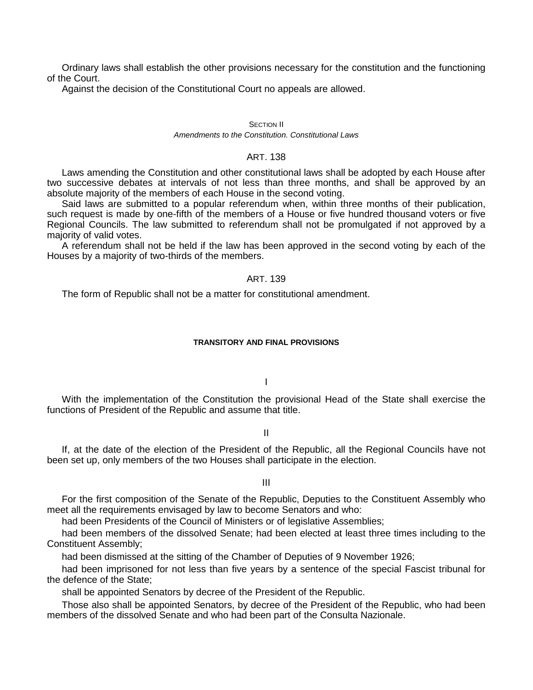Ordinary laws shall establish the other provisions necessary for the constitution and the functioning of the Court.

Against the decision of the Constitutional Court no appeals are allowed.

#### **SECTION II**

#### *Amendments to the Constitution. Constitutional Laws*

#### ART. 138

Laws amending the Constitution and other constitutional laws shall be adopted by each House after two successive debates at intervals of not less than three months, and shall be approved by an absolute majority of the members of each House in the second voting.

Said laws are submitted to a popular referendum when, within three months of their publication, such request is made by one-fifth of the members of a House or five hundred thousand voters or five Regional Councils. The law submitted to referendum shall not be promulgated if not approved by a majority of valid votes.

A referendum shall not be held if the law has been approved in the second voting by each of the Houses by a majority of two-thirds of the members.

# ART. 139

The form of Republic shall not be a matter for constitutional amendment.

#### **TRANSITORY AND FINAL PROVISIONS**

### I

With the implementation of the Constitution the provisional Head of the State shall exercise the functions of President of the Republic and assume that title.

II

If, at the date of the election of the President of the Republic, all the Regional Councils have not been set up, only members of the two Houses shall participate in the election.

III

For the first composition of the Senate of the Republic, Deputies to the Constituent Assembly who meet all the requirements envisaged by law to become Senators and who:

had been Presidents of the Council of Ministers or of legislative Assemblies;

had been members of the dissolved Senate; had been elected at least three times including to the Constituent Assembly;

had been dismissed at the sitting of the Chamber of Deputies of 9 November 1926;

had been imprisoned for not less than five years by a sentence of the special Fascist tribunal for the defence of the State;

shall be appointed Senators by decree of the President of the Republic.

Those also shall be appointed Senators, by decree of the President of the Republic, who had been members of the dissolved Senate and who had been part of the Consulta Nazionale.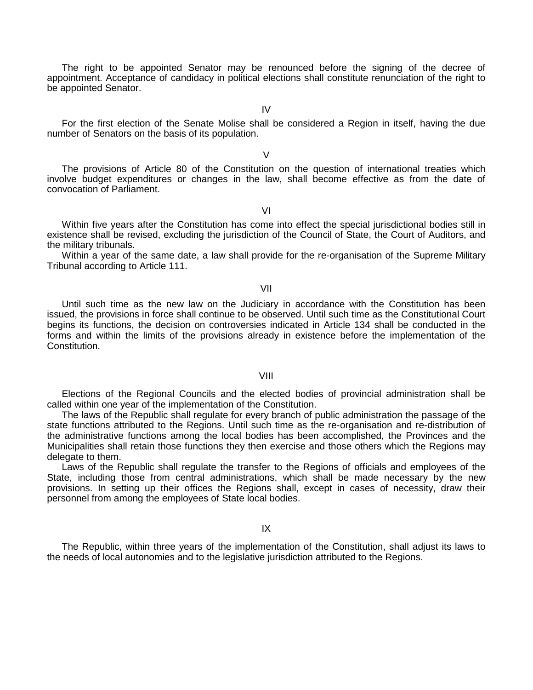The right to be appointed Senator may be renounced before the signing of the decree of appointment. Acceptance of candidacy in political elections shall constitute renunciation of the right to be appointed Senator.

IV

For the first election of the Senate Molise shall be considered a Region in itself, having the due number of Senators on the basis of its population.

 $\vee$ 

The provisions of Article 80 of the Constitution on the question of international treaties which involve budget expenditures or changes in the law, shall become effective as from the date of convocation of Parliament.

VI

Within five years after the Constitution has come into effect the special jurisdictional bodies still in existence shall be revised, excluding the jurisdiction of the Council of State, the Court of Auditors, and the military tribunals.

Within a year of the same date, a law shall provide for the re-organisation of the Supreme Military Tribunal according to Article 111.

VII

Until such time as the new law on the Judiciary in accordance with the Constitution has been issued, the provisions in force shall continue to be observed. Until such time as the Constitutional Court begins its functions, the decision on controversies indicated in Article 134 shall be conducted in the forms and within the limits of the provisions already in existence before the implementation of the Constitution.

# VIII

Elections of the Regional Councils and the elected bodies of provincial administration shall be called within one year of the implementation of the Constitution.

The laws of the Republic shall regulate for every branch of public administration the passage of the state functions attributed to the Regions. Until such time as the re-organisation and re-distribution of the administrative functions among the local bodies has been accomplished, the Provinces and the Municipalities shall retain those functions they then exercise and those others which the Regions may delegate to them.

Laws of the Republic shall regulate the transfer to the Regions of officials and employees of the State, including those from central administrations, which shall be made necessary by the new provisions. In setting up their offices the Regions shall, except in cases of necessity, draw their personnel from among the employees of State local bodies.

IX

The Republic, within three years of the implementation of the Constitution, shall adjust its laws to the needs of local autonomies and to the legislative jurisdiction attributed to the Regions.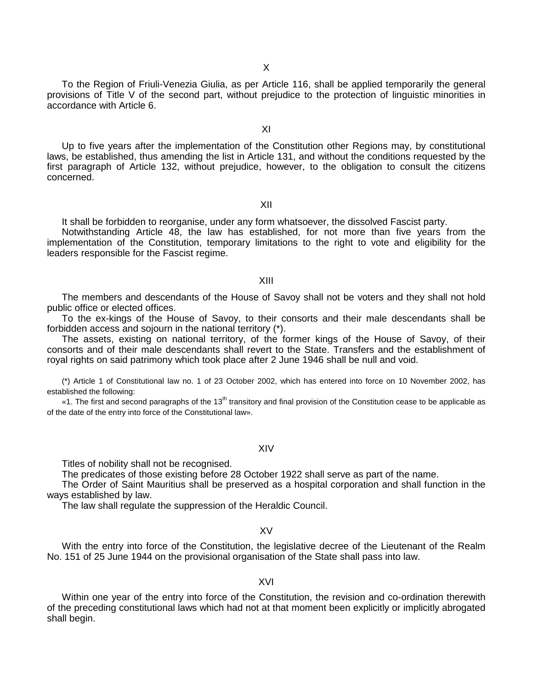To the Region of Friuli-Venezia Giulia, as per Article 116, shall be applied temporarily the general provisions of Title V of the second part, without prejudice to the protection of linguistic minorities in accordance with Article 6.

Up to five years after the implementation of the Constitution other Regions may, by constitutional laws, be established, thus amending the list in Article 131, and without the conditions requested by the first paragraph of Article 132, without prejudice, however, to the obligation to consult the citizens concerned.

#### XII

It shall be forbidden to reorganise, under any form whatsoever, the dissolved Fascist party.

Notwithstanding Article 48, the law has established, for not more than five years from the implementation of the Constitution, temporary limitations to the right to vote and eligibility for the leaders responsible for the Fascist regime.

### XIII

The members and descendants of the House of Savoy shall not be voters and they shall not hold public office or elected offices.

To the ex-kings of the House of Savoy, to their consorts and their male descendants shall be forbidden access and sojourn in the national territory (\*).

The assets, existing on national territory, of the former kings of the House of Savoy, of their consorts and of their male descendants shall revert to the State. Transfers and the establishment of royal rights on said patrimony which took place after 2 June 1946 shall be null and void.

(\*) Article 1 of Constitutional law no. 1 of 23 October 2002, which has entered into force on 10 November 2002, has established the following:

«1. The first and second paragraphs of the  $13<sup>th</sup>$  transitory and final provision of the Constitution cease to be applicable as of the date of the entry into force of the Constitutional law».

# XIV

Titles of nobility shall not be recognised.

The predicates of those existing before 28 October 1922 shall serve as part of the name.

The Order of Saint Mauritius shall be preserved as a hospital corporation and shall function in the ways established by law.

The law shall regulate the suppression of the Heraldic Council.

XV

With the entry into force of the Constitution, the legislative decree of the Lieutenant of the Realm No. 151 of 25 June 1944 on the provisional organisation of the State shall pass into law.

#### XVI

Within one year of the entry into force of the Constitution, the revision and co-ordination therewith of the preceding constitutional laws which had not at that moment been explicitly or implicitly abrogated shall begin.